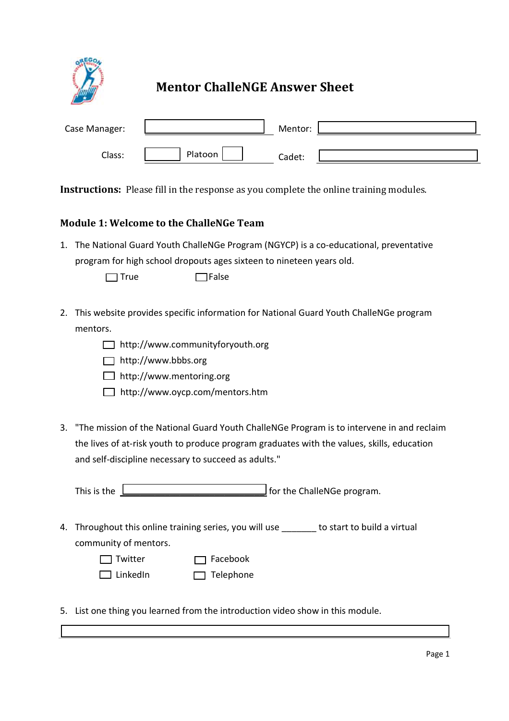

# **Mentor ChalleNGE Answer Sheet**

| Case Manager: |         | Mentor: |  |
|---------------|---------|---------|--|
| Class:        | Platoon | Cadet:  |  |

**Instructions:** Please fill in the response as you complete the online training modules.

### **Module 1: Welcome to the ChalleNGe Team**

1. The National Guard Youth ChalleNGe Program (NGYCP) is a co-educational, preventative program for high school dropouts ages sixteen to nineteen years old.

 $\Box$  True  $\Box$  False

- 2. This website provides specific information for National Guard Youth ChalleNGe program mentors.
	- http://www.communityforyouth.org
	- □ http://www.bbbs.org
	- □ http://www.mentoring.org
	- http://www.oycp.com/mentors.htm
- 3. "The mission of the National Guard Youth ChalleNGe Program is to intervene in and reclaim the lives of at-risk youth to produce program graduates with the values, skills, education and self-discipline necessary to succeed as adults."

This is the **EXECUTE:** This is the **EXECUTE:** for the ChalleNGe program.

- 4. Throughout this online training series, you will use \_\_\_\_\_\_ to start to build a virtual community of mentors.
	- Twitter **Tracebook**
	-

□ LinkedIn □ Telephone

5. List one thing you learned from the introduction video show in this module.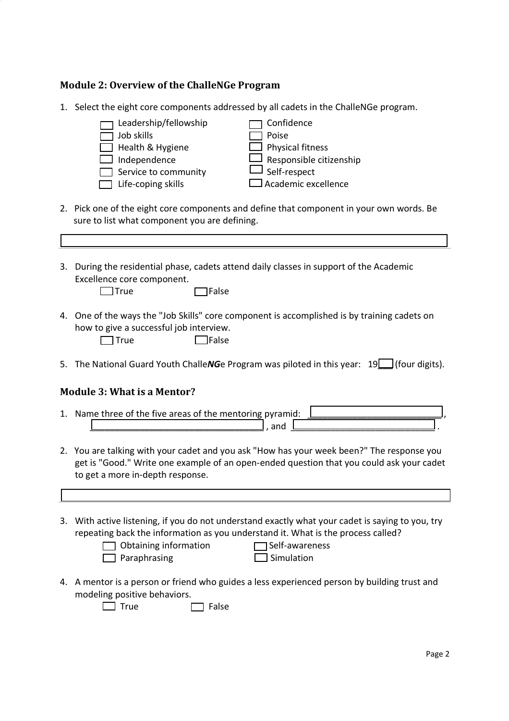### **Module 2: Overview of the ChalleNGe Program**

1. Select the eight core components addressed by all cadets in the ChalleNGe program.

| beloct the eight core components addressed by an eaders in the chancivac program.                                                                                      |
|------------------------------------------------------------------------------------------------------------------------------------------------------------------------|
| Leadership/fellowship<br>Confidence<br>Job skills<br>Poise<br>Health & Hygiene<br>Physical fitness<br>Responsible citizenship<br>Independence                          |
| Self-respect<br>Service to community                                                                                                                                   |
| Academic excellence<br>Life-coping skills                                                                                                                              |
| 2. Pick one of the eight core components and define that component in your own words. Be<br>sure to list what component you are defining.                              |
|                                                                                                                                                                        |
| 3. During the residential phase, cadets attend daily classes in support of the Academic<br>Excellence core component.<br><b>True</b><br><b>TFalse</b>                  |
| 4. One of the ways the "Job Skills" core component is accomplished is by training cadets on<br>how to give a successful job interview.<br><b>JFalse</b><br><b>True</b> |
| 5. The National Guard Youth ChalleNGe Program was piloted in this year: $19\Box$ (four digits).                                                                        |
| <b>Module 3: What is a Mentor?</b>                                                                                                                                     |
| 1. Name three of the five areas of the mentoring pyramid:<br>, and                                                                                                     |

- 2. You are talking with your cadet and you ask "How has your week been?" The response you get is "Good." Write one example of an open-ended question that you could ask your cadet to get a more in-depth response.
- 3. With active listening, if you do not understand exactly what your cadet is saying to you, try repeating back the information as you understand it. What is the process called?

| Obtair |
|--------|
| Parap  |

ning information **Self-awareness** hrasing Simulation

4. A mentor is a person or friend who guides a less experienced person by building trust and modeling positive behaviors.

 $\Box$  True  $\Box$  False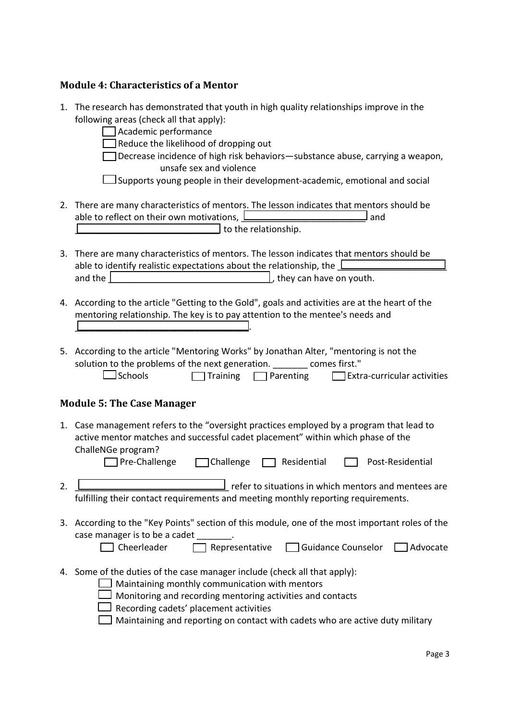# **Module 4: Characteristics of a Mentor**

|    | 1. The research has demonstrated that youth in high quality relationships improve in the<br>following areas (check all that apply):<br>Academic performance<br>Reduce the likelihood of dropping out<br>Decrease incidence of high risk behaviors-substance abuse, carrying a weapon,<br>unsafe sex and violence<br>Supports young people in their development-academic, emotional and social      |
|----|----------------------------------------------------------------------------------------------------------------------------------------------------------------------------------------------------------------------------------------------------------------------------------------------------------------------------------------------------------------------------------------------------|
|    | 2. There are many characteristics of mentors. The lesson indicates that mentors should be<br>able to reflect on their own motivations, Lease and the control of the same state of the state of the state of<br>and<br>to the relationship.                                                                                                                                                         |
|    | 3. There are many characteristics of mentors. The lesson indicates that mentors should be<br>able to identify realistic expectations about the relationship, the<br>and the same state of the state of the state of the state of the state of the state of the state of the state of the state of the state of the state of the state of the state of the state of the state of the state of the s |
|    | 4. According to the article "Getting to the Gold", goals and activities are at the heart of the<br>mentoring relationship. The key is to pay attention to the mentee's needs and                                                                                                                                                                                                                   |
|    | 5. According to the article "Mentoring Works" by Jonathan Alter, "mentoring is not the<br>solution to the problems of the next generation. _______ comes first."<br><b>J</b> Schools<br>$\Box$ Extra-curricular activities<br>$\Box$ Training $\Box$ Parenting                                                                                                                                     |
|    | <b>Module 5: The Case Manager</b>                                                                                                                                                                                                                                                                                                                                                                  |
|    | 1. Case management refers to the "oversight practices employed by a program that lead to<br>active mentor matches and successful cadet placement" within which phase of the<br>ChalleNGe program?<br>Pre-Challenge<br>Challenge<br>Residential<br>Post-Residential                                                                                                                                 |
| 2. | <u>________</u> refer to situations in which mentors and mentees are<br>fulfilling their contact requirements and meeting monthly reporting requirements.                                                                                                                                                                                                                                          |
|    | 3. According to the "Key Points" section of this module, one of the most important roles of the<br>case manager is to be a cadet [11] .<br>Cheerleader<br>Representative<br>Guidance Counselor<br>$\Box$ Advocate                                                                                                                                                                                  |
|    | 4. Some of the duties of the case manager include (check all that apply):<br>Maintaining monthly communication with mentors<br>Monitoring and recording mentoring activities and contacts<br>Recording cadets' placement activities<br>Maintaining and reporting on contact with cadets who are active duty military                                                                               |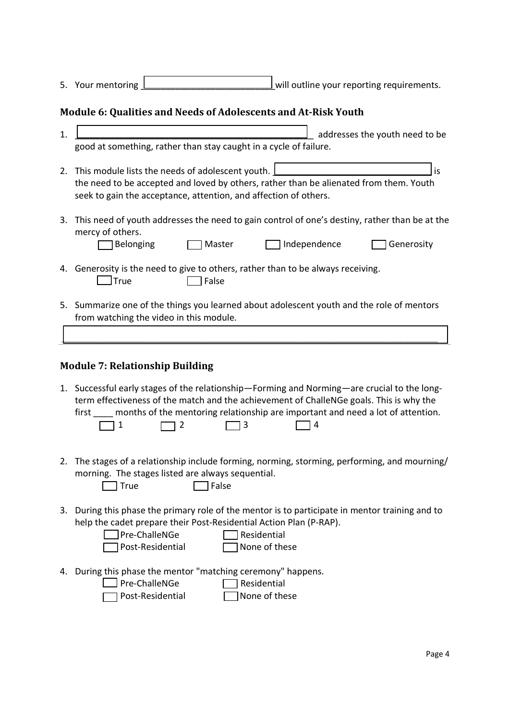| 5. Your mentoring |  | will outline your reporting requirements. |
|-------------------|--|-------------------------------------------|

## **Module 6: Qualities and Needs of Adolescents and At-Risk Youth**

| 1. | addresses the youth need to be                                                                                                                                                                                                                                                                    |
|----|---------------------------------------------------------------------------------------------------------------------------------------------------------------------------------------------------------------------------------------------------------------------------------------------------|
|    | good at something, rather than stay caught in a cycle of failure.                                                                                                                                                                                                                                 |
| 2. | This module lists the needs of adolescent youth.<br>is<br>the need to be accepted and loved by others, rather than be alienated from them. Youth<br>seek to gain the acceptance, attention, and affection of others.                                                                              |
| 3. | This need of youth addresses the need to gain control of one's destiny, rather than be at the<br>mercy of others.<br>Independence<br>Belonging<br>Master<br>Generosity                                                                                                                            |
|    | 4. Generosity is the need to give to others, rather than to be always receiving.<br>]True<br>False                                                                                                                                                                                                |
|    | 5. Summarize one of the things you learned about adolescent youth and the role of mentors<br>from watching the video in this module.                                                                                                                                                              |
|    |                                                                                                                                                                                                                                                                                                   |
|    | <b>Module 7: Relationship Building</b>                                                                                                                                                                                                                                                            |
|    | 1. Successful early stages of the relationship-Forming and Norming-are crucial to the long-<br>term effectiveness of the match and the achievement of ChalleNGe goals. This is why the<br>months of the mentoring relationship are important and need a lot of attention.<br>first<br>1<br>2<br>3 |
| 2. | The stages of a relationship include forming, norming, storming, performing, and mourning/<br>morning. The stages listed are always sequential.<br>False<br>True                                                                                                                                  |

3. During this phase the primary role of the mentor is to participate in mentor training and to help the cadet prepare their Post-Residential Action Plan (P-RAP).

| $\Box$ Pre-ChalleNGe    | $\Box$ Residential   |
|-------------------------|----------------------|
| $\Box$ Post-Residential | $\Box$ None of these |

- 4. During this phase the mentor "matching ceremony" happens.
	- Pre-ChalleNGe Residential
	- Post-Residential None of these
-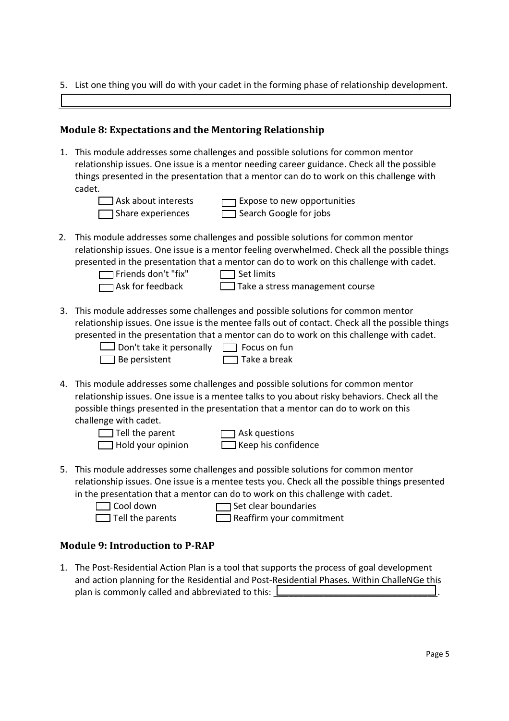5. List one thing you will do with your cadet in the forming phase of relationship development.

### **Module 8: Expectations and the Mentoring Relationship**

1. This module addresses some challenges and possible solutions for common mentor relationship issues. One issue is a mentor needing career guidance. Check all the possible things presented in the presentation that a mentor can do to work on this challenge with cadet.

 $\Box$  Ask about interests  $\Box$  Expose to new opportunities  $\Box$  Share experiences  $\Box$  Search Google for jobs

2. This module addresses some challenges and possible solutions for common mentor relationship issues. One issue is a mentor feeling overwhelmed. Check all the possible things presented in the presentation that a mentor can do to work on this challenge with cadet.

Friends don't "fix" Set limits

 $\Box$  Ask for feedback  $\Box$  Take a stress management course

3. This module addresses some challenges and possible solutions for common mentor relationship issues. One issue is the mentee falls out of contact. Check all the possible things presented in the presentation that a mentor can do to work on this challenge with cadet.

| $\Box$ Don't take it personally $\Box$ Focus on fun |                     |
|-----------------------------------------------------|---------------------|
| $\Box$ Be persistent                                | $\Box$ Take a break |

| ıally | $\Box$ Focus on fun |
|-------|---------------------|
|       | $\Box$ Take a break |

4. This module addresses some challenges and possible solutions for common mentor relationship issues. One issue is a mentee talks to you about risky behaviors. Check all the possible things presented in the presentation that a mentor can do to work on this challenge with cadet.

 $\Box$  Tell the parent  $\Box$  Ask questions

 $\Box$  Hold your opinion  $\Box$  Keep his confidence

5. This module addresses some challenges and possible solutions for common mentor relationship issues. One issue is a mentee tests you. Check all the possible things presented in the presentation that a mentor can do to work on this challenge with cadet.

 $\Box$  Cool down  $\Box$  Set clear boundaries

 $\Box$  Tell the parents  $\Box$  Reaffirm your commitment

## **Module 9: Introduction to P-RAP**

1. The Post-Residential Action Plan is a tool that supports the process of goal development and action planning for the Residential and Post-Residential Phases. Within ChalleNGe this plan is commonly called and abbreviated to this:  $\Box$